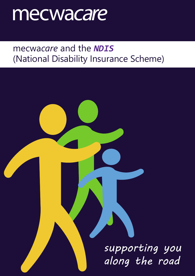# mecwacare

# mecwa*care* and the *NDIS* (National Disability Insurance Scheme)

*supporting you along the road*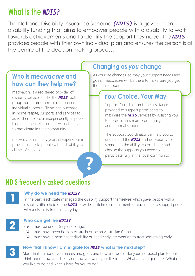## **What is the** *NDIS?*

The National Disability Insurance Scheme *(NDIS)* is a government disability funding that aims to empower people with a disability to work towards achievements and to identify the support they need. The *NDIS* provides people with thier own individual plan and ensures the person is at the centre of the decision making process.

#### **Who is mecwacare and how can they help me?**

mecwa*care* is a registered provider of disability services under the *NDIS*, both group-based programs or one on one individual support. Clients can purchase in-home respite, supports and services to assist them to live as independently as possible, strengthen relationships with others and to participate in their community.

mecwa*care* has many years of experience in providing care to people with a disability to clients of all ages.

#### **Changing as** *you* **change**

As your life changes, so may your support needs and goals. mecwa*care* will be there to make sure you get the right support.

### *Your* **Choice,** *Your* **Way**

Support Coordination is the assistance provided to support participants to maximise the *NDIS* services by assisting you to access mainstream, community and informal supports.

The Support Coordinator can help you to understand the *NDIS* and its flexibility to strengthen the ability to coordinate and choose the supports you need to participate fully in the local community.

## **NDIS frequently asked questions**



#### **Why do we need the** *NDIS?*

In the past, each state managed the disability support themselves which gave people with a disability little choice. The *NDIS* provides a lifetime commitment for each state to support people with a disability in their everyday life.



#### **Who can get the** *NDIS?*

- You must be under 65 years of age.
- You must have been born in Australia or be an Australian Citizen.
- You must have a permanent disability or need early intervention to treat something early.

#### **Now that I know I am eligible for** *NDIS* **what is the next step?**

2

Start thinking about your needs and goals and how you would like your individual plan to look. Think about how your life is and how you want your life to be. What are you good at? What do you like to do and what is hard for you to do?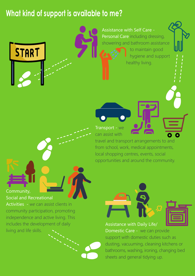## **What kind of support is available to me?**



Assistance with Self Care - Personal Care including dressing, showering and bathroom assistance to maintain good hygiene and support healthy living.

Transport - we can assist with

travel and transport arrangements to and from school, work, medical appointments, local shopping centres, events, social opportunities and around the community.

Community,

Social and Recreational

Activities - w*e* can assist clients in community participation, promoting independence and active living. This includes the development of daily living and life skills.

Assistance with Daily Life/ Domestic Care - we can provide support with domestic duties such as dusting, vacuuming, cleaning kitchens or bathrooms, washing, ironing, changing bed sheets and general tidying up.